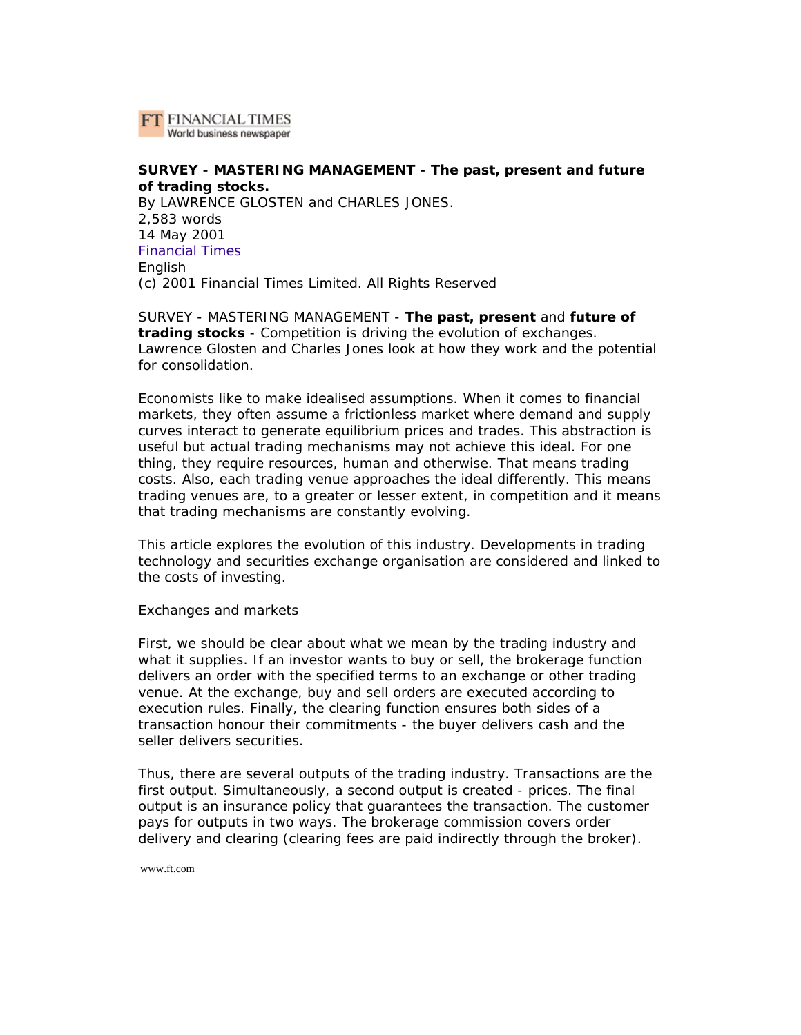

# **SURVEY - MASTERING MANAGEMENT - The past, present and future of trading stocks.**

By LAWRENCE GLOSTEN and CHARLES JONES. 2,583 words 14 May 2001 Financial Times English (c) 2001 Financial Times Limited. All Rights Reserved

SURVEY - MASTERING MANAGEMENT - **The past, present** and **future of trading stocks** - Competition is driving the evolution of exchanges. Lawrence Glosten and Charles Jones look at how they work and the potential for consolidation.

Economists like to make idealised assumptions. When it comes to financial markets, they often assume a frictionless market where demand and supply curves interact to generate equilibrium prices and trades. This abstraction is useful but actual trading mechanisms may not achieve this ideal. For one thing, they require resources, human and otherwise. That means trading costs. Also, each trading venue approaches the ideal differently. This means trading venues are, to a greater or lesser extent, in competition and it means that trading mechanisms are constantly evolving.

This article explores the evolution of this industry. Developments in trading technology and securities exchange organisation are considered and linked to the costs of investing.

Exchanges and markets

First, we should be clear about what we mean by the trading industry and what it supplies. If an investor wants to buy or sell, the brokerage function delivers an order with the specified terms to an exchange or other trading venue. At the exchange, buy and sell orders are executed according to execution rules. Finally, the clearing function ensures both sides of a transaction honour their commitments - the buyer delivers cash and the seller delivers securities.

Thus, there are several outputs of the trading industry. Transactions are the first output. Simultaneously, a second output is created - prices. The final output is an insurance policy that guarantees the transaction. The customer pays for outputs in two ways. The brokerage commission covers order delivery and clearing (clearing fees are paid indirectly through the broker).

www.ft.com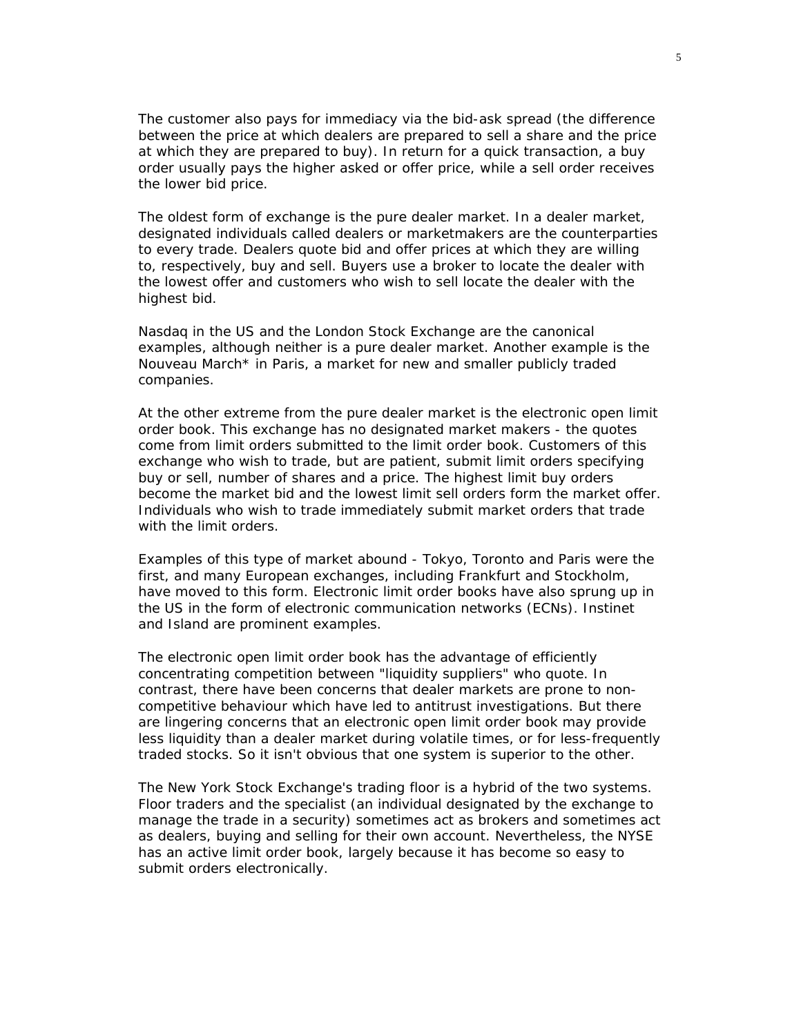The customer also pays for immediacy via the bid-ask spread (the difference between the price at which dealers are prepared to sell a share and the price at which they are prepared to buy). In return for a quick transaction, a buy order usually pays the higher asked or offer price, while a sell order receives the lower bid price.

The oldest form of exchange is the pure dealer market. In a dealer market, designated individuals called dealers or marketmakers are the counterparties to every trade. Dealers quote bid and offer prices at which they are willing to, respectively, buy and sell. Buyers use a broker to locate the dealer with the lowest offer and customers who wish to sell locate the dealer with the highest bid.

Nasdaq in the US and the London Stock Exchange are the canonical examples, although neither is a pure dealer market. Another example is the Nouveau March\* in Paris, a market for new and smaller publicly traded companies.

At the other extreme from the pure dealer market is the electronic open limit order book. This exchange has no designated market makers - the quotes come from limit orders submitted to the limit order book. Customers of this exchange who wish to trade, but are patient, submit limit orders specifying buy or sell, number of shares and a price. The highest limit buy orders become the market bid and the lowest limit sell orders form the market offer. Individuals who wish to trade immediately submit market orders that trade with the limit orders.

Examples of this type of market abound - Tokyo, Toronto and Paris were the first, and many European exchanges, including Frankfurt and Stockholm, have moved to this form. Electronic limit order books have also sprung up in the US in the form of electronic communication networks (ECNs). Instinet and Island are prominent examples.

The electronic open limit order book has the advantage of efficiently concentrating competition between "liquidity suppliers" who quote. In contrast, there have been concerns that dealer markets are prone to noncompetitive behaviour which have led to antitrust investigations. But there are lingering concerns that an electronic open limit order book may provide less liquidity than a dealer market during volatile times, or for less-frequently traded stocks. So it isn't obvious that one system is superior to the other.

The New York Stock Exchange's trading floor is a hybrid of the two systems. Floor traders and the specialist (an individual designated by the exchange to manage the trade in a security) sometimes act as brokers and sometimes act as dealers, buying and selling for their own account. Nevertheless, the NYSE has an active limit order book, largely because it has become so easy to submit orders electronically.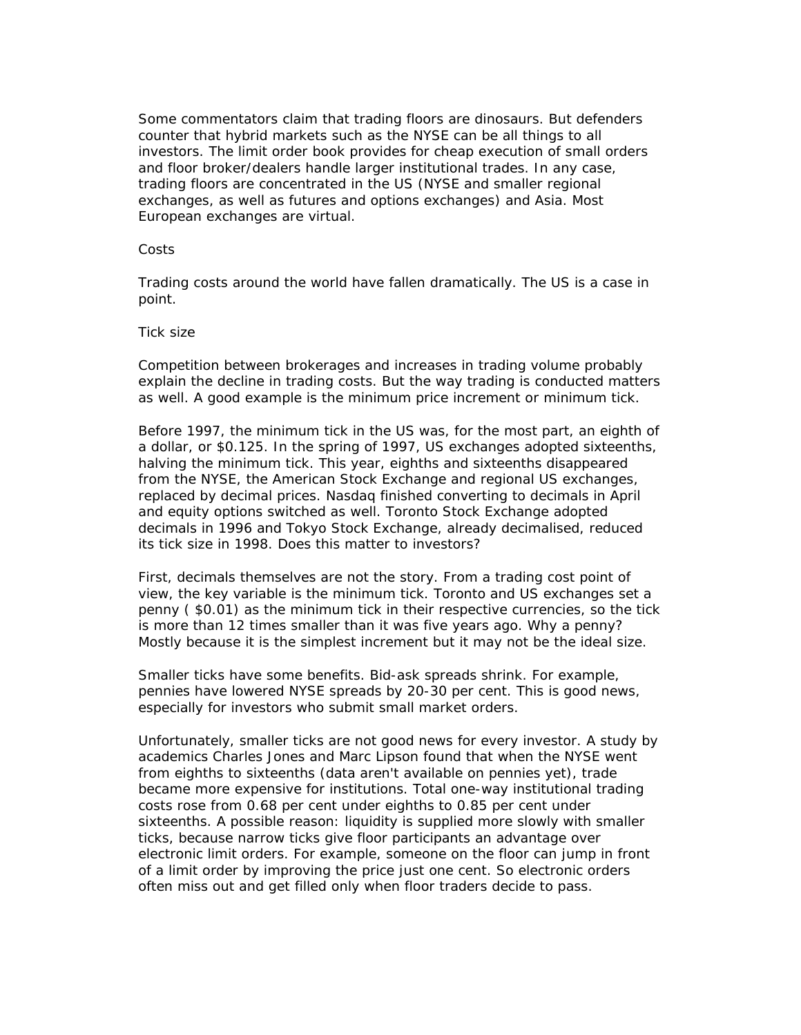Some commentators claim that trading floors are dinosaurs. But defenders counter that hybrid markets such as the NYSE can be all things to all investors. The limit order book provides for cheap execution of small orders and floor broker/dealers handle larger institutional trades. In any case, trading floors are concentrated in the US (NYSE and smaller regional exchanges, as well as futures and options exchanges) and Asia. Most European exchanges are virtual.

### Costs

Trading costs around the world have fallen dramatically. The US is a case in point.

### Tick size

Competition between brokerages and increases in trading volume probably explain the decline in trading costs. But the way trading is conducted matters as well. A good example is the minimum price increment or minimum tick.

Before 1997, the minimum tick in the US was, for the most part, an eighth of a dollar, or \$0.125. In the spring of 1997, US exchanges adopted sixteenths, halving the minimum tick. This year, eighths and sixteenths disappeared from the NYSE, the American Stock Exchange and regional US exchanges, replaced by decimal prices. Nasdaq finished converting to decimals in April and equity options switched as well. Toronto Stock Exchange adopted decimals in 1996 and Tokyo Stock Exchange, already decimalised, reduced its tick size in 1998. Does this matter to investors?

First, decimals themselves are not the story. From a trading cost point of view, the key variable is the minimum tick. Toronto and US exchanges set a penny ( \$0.01) as the minimum tick in their respective currencies, so the tick is more than 12 times smaller than it was five years ago. Why a penny? Mostly because it is the simplest increment but it may not be the ideal size.

Smaller ticks have some benefits. Bid-ask spreads shrink. For example, pennies have lowered NYSE spreads by 20-30 per cent. This is good news, especially for investors who submit small market orders.

Unfortunately, smaller ticks are not good news for every investor. A study by academics Charles Jones and Marc Lipson found that when the NYSE went from eighths to sixteenths (data aren't available on pennies yet), trade became more expensive for institutions. Total one-way institutional trading costs rose from 0.68 per cent under eighths to 0.85 per cent under sixteenths. A possible reason: liquidity is supplied more slowly with smaller ticks, because narrow ticks give floor participants an advantage over electronic limit orders. For example, someone on the floor can jump in front of a limit order by improving the price just one cent. So electronic orders often miss out and get filled only when floor traders decide to pass.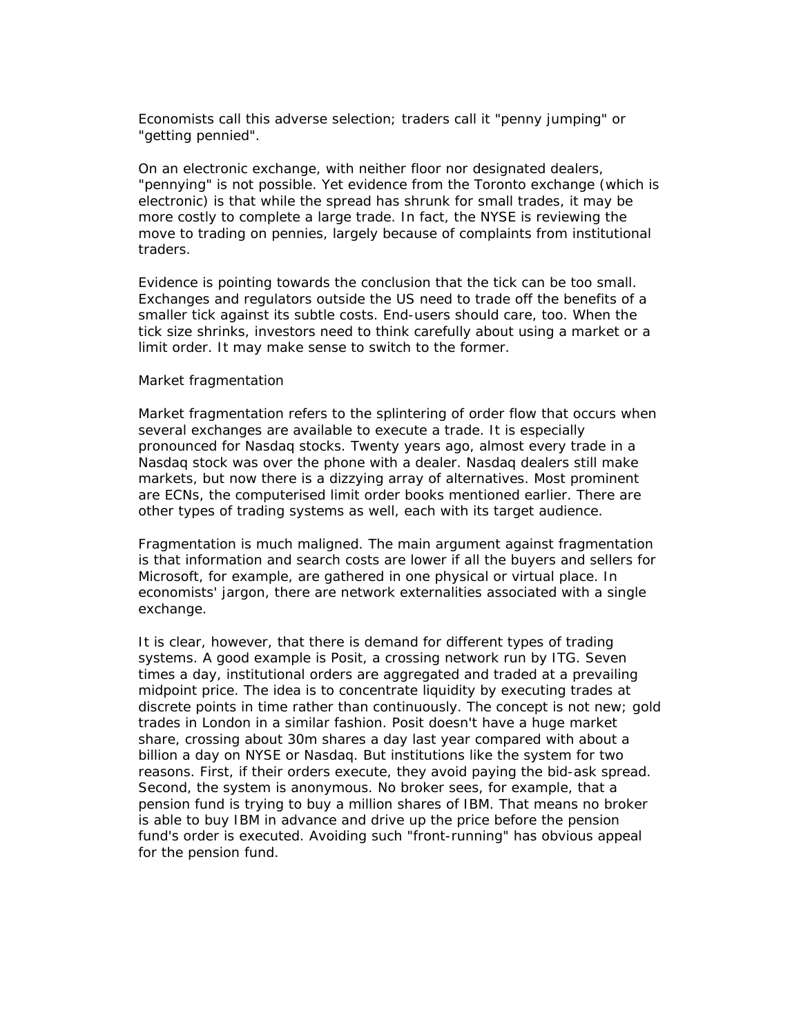Economists call this adverse selection; traders call it "penny jumping" or "getting pennied".

On an electronic exchange, with neither floor nor designated dealers, "pennying" is not possible. Yet evidence from the Toronto exchange (which is electronic) is that while the spread has shrunk for small trades, it may be more costly to complete a large trade. In fact, the NYSE is reviewing the move to trading on pennies, largely because of complaints from institutional traders.

Evidence is pointing towards the conclusion that the tick can be too small. Exchanges and regulators outside the US need to trade off the benefits of a smaller tick against its subtle costs. End-users should care, too. When the tick size shrinks, investors need to think carefully about using a market or a limit order. It may make sense to switch to the former.

#### Market fragmentation

Market fragmentation refers to the splintering of order flow that occurs when several exchanges are available to execute a trade. It is especially pronounced for Nasdaq stocks. Twenty years ago, almost every trade in a Nasdaq stock was over the phone with a dealer. Nasdaq dealers still make markets, but now there is a dizzying array of alternatives. Most prominent are ECNs, the computerised limit order books mentioned earlier. There are other types of trading systems as well, each with its target audience.

Fragmentation is much maligned. The main argument against fragmentation is that information and search costs are lower if all the buyers and sellers for Microsoft, for example, are gathered in one physical or virtual place. In economists' jargon, there are network externalities associated with a single exchange.

It is clear, however, that there is demand for different types of trading systems. A good example is Posit, a crossing network run by ITG. Seven times a day, institutional orders are aggregated and traded at a prevailing midpoint price. The idea is to concentrate liquidity by executing trades at discrete points in time rather than continuously. The concept is not new; gold trades in London in a similar fashion. Posit doesn't have a huge market share, crossing about 30m shares a day last year compared with about a billion a day on NYSE or Nasdaq. But institutions like the system for two reasons. First, if their orders execute, they avoid paying the bid-ask spread. Second, the system is anonymous. No broker sees, for example, that a pension fund is trying to buy a million shares of IBM. That means no broker is able to buy IBM in advance and drive up the price before the pension fund's order is executed. Avoiding such "front-running" has obvious appeal for the pension fund.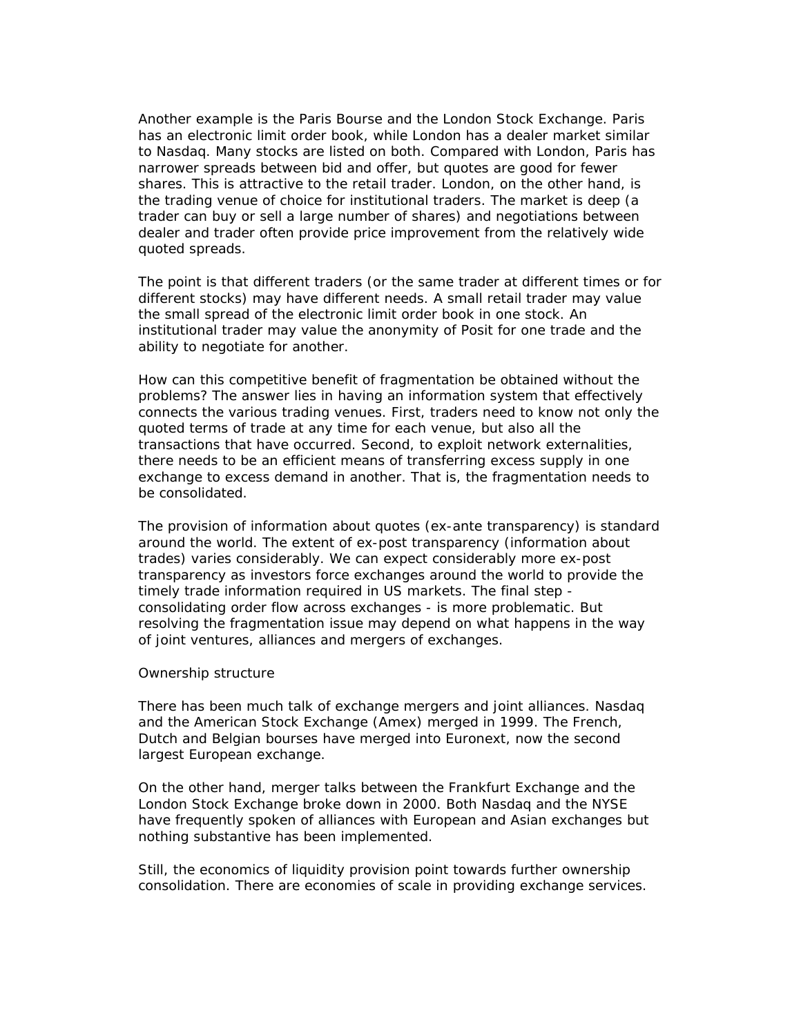Another example is the Paris Bourse and the London Stock Exchange. Paris has an electronic limit order book, while London has a dealer market similar to Nasdaq. Many stocks are listed on both. Compared with London, Paris has narrower spreads between bid and offer, but quotes are good for fewer shares. This is attractive to the retail trader. London, on the other hand, is the trading venue of choice for institutional traders. The market is deep (a trader can buy or sell a large number of shares) and negotiations between dealer and trader often provide price improvement from the relatively wide quoted spreads.

The point is that different traders (or the same trader at different times or for different stocks) may have different needs. A small retail trader may value the small spread of the electronic limit order book in one stock. An institutional trader may value the anonymity of Posit for one trade and the ability to negotiate for another.

How can this competitive benefit of fragmentation be obtained without the problems? The answer lies in having an information system that effectively connects the various trading venues. First, traders need to know not only the quoted terms of trade at any time for each venue, but also all the transactions that have occurred. Second, to exploit network externalities, there needs to be an efficient means of transferring excess supply in one exchange to excess demand in another. That is, the fragmentation needs to be consolidated.

The provision of information about quotes (ex-ante transparency) is standard around the world. The extent of ex-post transparency (information about trades) varies considerably. We can expect considerably more ex-post transparency as investors force exchanges around the world to provide the timely trade information required in US markets. The final step consolidating order flow across exchanges - is more problematic. But resolving the fragmentation issue may depend on what happens in the way of joint ventures, alliances and mergers of exchanges.

#### Ownership structure

There has been much talk of exchange mergers and joint alliances. Nasdaq and the American Stock Exchange (Amex) merged in 1999. The French, Dutch and Belgian bourses have merged into Euronext, now the second largest European exchange.

On the other hand, merger talks between the Frankfurt Exchange and the London Stock Exchange broke down in 2000. Both Nasdaq and the NYSE have frequently spoken of alliances with European and Asian exchanges but nothing substantive has been implemented.

Still, the economics of liquidity provision point towards further ownership consolidation. There are economies of scale in providing exchange services.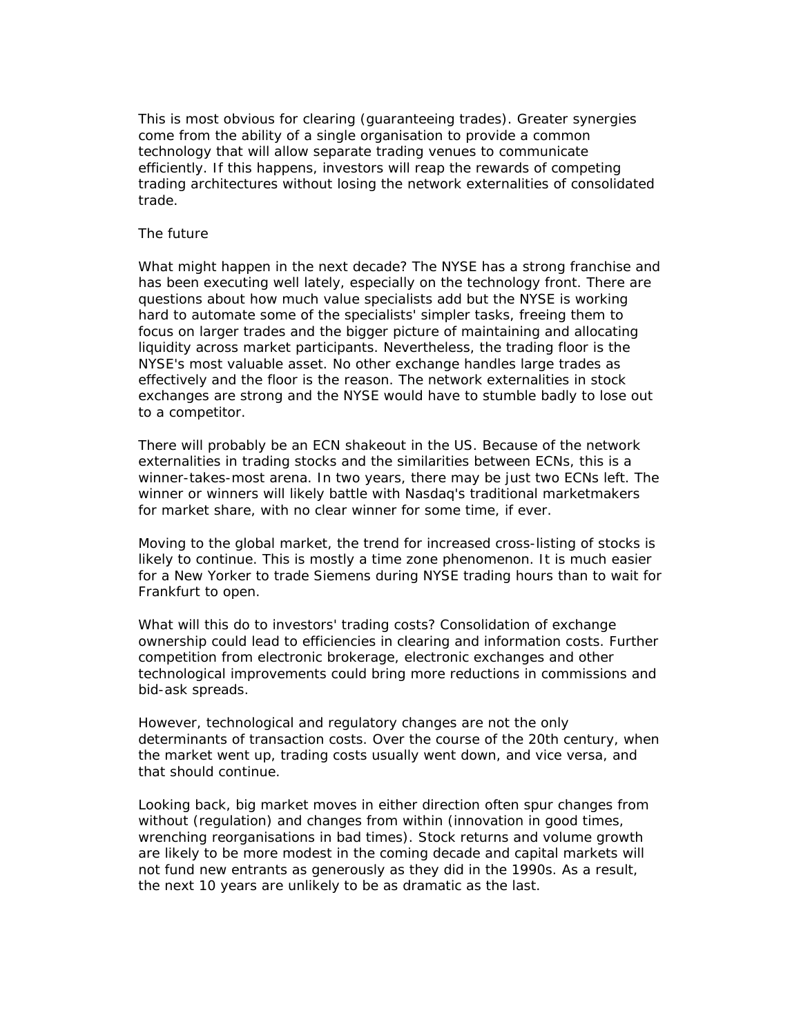This is most obvious for clearing (guaranteeing trades). Greater synergies come from the ability of a single organisation to provide a common technology that will allow separate trading venues to communicate efficiently. If this happens, investors will reap the rewards of competing trading architectures without losing the network externalities of consolidated trade.

## The future

What might happen in the next decade? The NYSE has a strong franchise and has been executing well lately, especially on the technology front. There are questions about how much value specialists add but the NYSE is working hard to automate some of the specialists' simpler tasks, freeing them to focus on larger trades and the bigger picture of maintaining and allocating liquidity across market participants. Nevertheless, the trading floor is the NYSE's most valuable asset. No other exchange handles large trades as effectively and the floor is the reason. The network externalities in stock exchanges are strong and the NYSE would have to stumble badly to lose out to a competitor.

There will probably be an ECN shakeout in the US. Because of the network externalities in trading stocks and the similarities between ECNs, this is a winner-takes-most arena. In two years, there may be just two ECNs left. The winner or winners will likely battle with Nasdaq's traditional marketmakers for market share, with no clear winner for some time, if ever.

Moving to the global market, the trend for increased cross-listing of stocks is likely to continue. This is mostly a time zone phenomenon. It is much easier for a New Yorker to trade Siemens during NYSE trading hours than to wait for Frankfurt to open.

What will this do to investors' trading costs? Consolidation of exchange ownership could lead to efficiencies in clearing and information costs. Further competition from electronic brokerage, electronic exchanges and other technological improvements could bring more reductions in commissions and bid-ask spreads.

However, technological and regulatory changes are not the only determinants of transaction costs. Over the course of the 20th century, when the market went up, trading costs usually went down, and vice versa, and that should continue.

Looking back, big market moves in either direction often spur changes from without (regulation) and changes from within (innovation in good times, wrenching reorganisations in bad times). Stock returns and volume growth are likely to be more modest in the coming decade and capital markets will not fund new entrants as generously as they did in the 1990s. As a result, the next 10 years are unlikely to be as dramatic as the last.